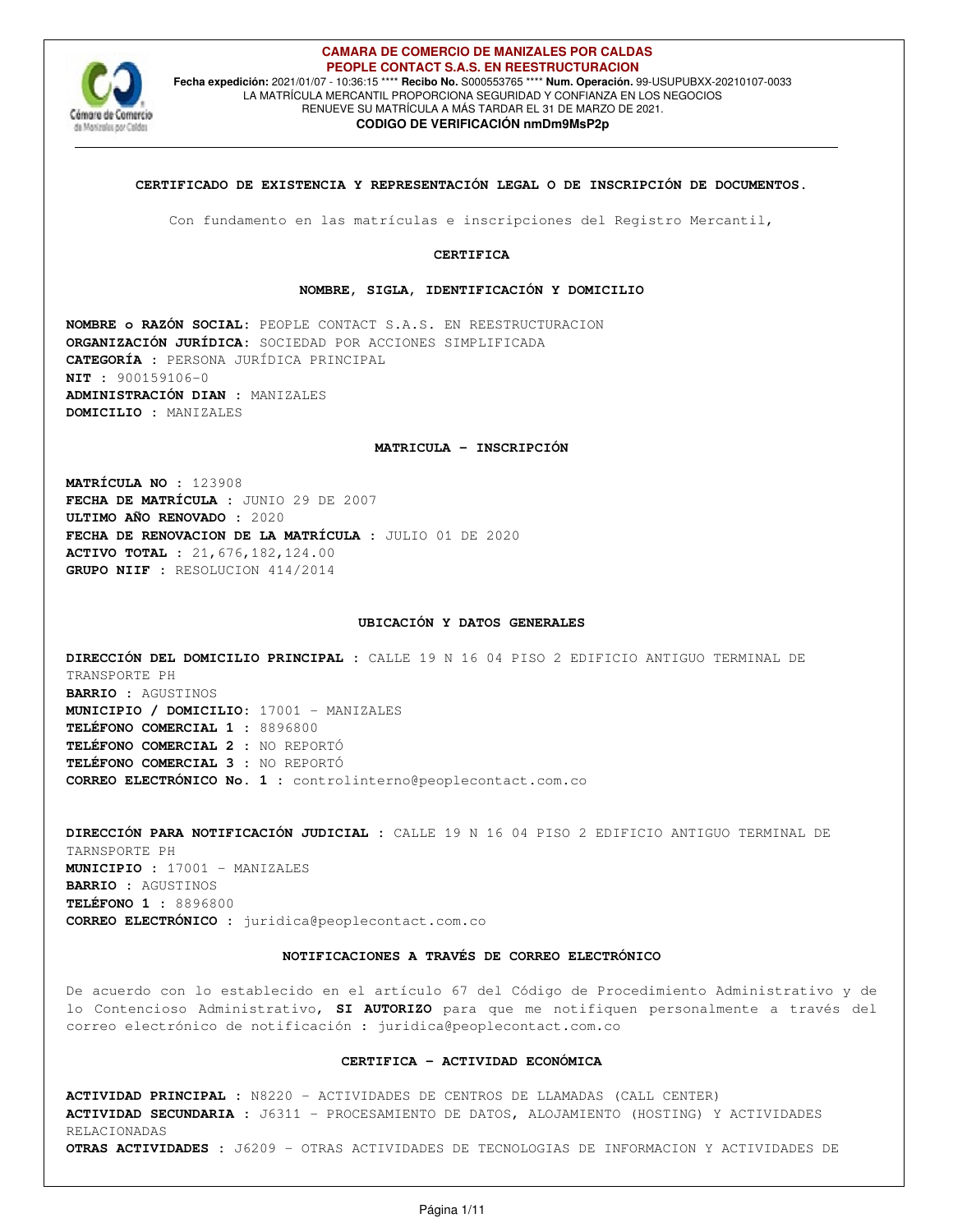

#### **CAMARA DE COMERCIO DE MANIZALES POR CALDAS PEOPLE CONTACT S.A.S. EN REESTRUCTURACION Fecha expedición:** 2021/01/07 - 10:36:15 \*\*\*\* **Recibo No.** S000553765 \*\*\*\* **Num. Operación.** 99-USUPUBXX-20210107-0033 LA MATRÍCULA MERCANTIL PROPORCIONA SEGURIDAD Y CONFIANZA EN LOS NEGOCIOS RENUEVE SU MATRÍCULA A MÁS TARDAR EL 31 DE MARZO DE 2021. **CODIGO DE VERIFICACIÓN nmDm9MsP2p**

## **CERTIFICADO DE EXISTENCIA Y REPRESENTACIÓN LEGAL O DE INSCRIPCIÓN DE DOCUMENTOS.**

Con fundamento en las matrículas e inscripciones del Registro Mercantil,

### **CERTIFICA**

#### **NOMBRE, SIGLA, IDENTIFICACIÓN Y DOMICILIO**

**NOMBRE o RAZÓN SOCIAL:** PEOPLE CONTACT S.A.S. EN REESTRUCTURACION **ORGANIZACIÓN JURÍDICA:** SOCIEDAD POR ACCIONES SIMPLIFICADA **CATEGORÍA :** PERSONA JURÍDICA PRINCIPAL **NIT :** 900159106-0 **ADMINISTRACIÓN DIAN :** MANIZALES **DOMICILIO :** MANIZALES

#### **MATRICULA - INSCRIPCIÓN**

**MATRÍCULA NO :** 123908 **FECHA DE MATRÍCULA :** JUNIO 29 DE 2007 **ULTIMO AÑO RENOVADO :** 2020 **FECHA DE RENOVACION DE LA MATRÍCULA :** JULIO 01 DE 2020 **ACTIVO TOTAL :** 21,676,182,124.00 **GRUPO NIIF :** RESOLUCION 414/2014

#### **UBICACIÓN Y DATOS GENERALES**

**DIRECCIÓN DEL DOMICILIO PRINCIPAL :** CALLE 19 N 16 04 PISO 2 EDIFICIO ANTIGUO TERMINAL DE TRANSPORTE PH **BARRIO :** AGUSTINOS **MUNICIPIO / DOMICILIO:** 17001 - MANIZALES **TELÉFONO COMERCIAL 1 :** 8896800 **TELÉFONO COMERCIAL 2 :** NO REPORTÓ **TELÉFONO COMERCIAL 3 :** NO REPORTÓ **CORREO ELECTRÓNICO No. 1 :** controlinterno@peoplecontact.com.co

**DIRECCIÓN PARA NOTIFICACIÓN JUDICIAL :** CALLE 19 N 16 04 PISO 2 EDIFICIO ANTIGUO TERMINAL DE TARNSPORTE PH **MUNICIPIO :** 17001 - MANIZALES **BARRIO :** AGUSTINOS **TELÉFONO 1 :** 8896800 **CORREO ELECTRÓNICO :** juridica@peoplecontact.com.co

#### **NOTIFICACIONES A TRAVÉS DE CORREO ELECTRÓNICO**

De acuerdo con lo establecido en el artículo 67 del Código de Procedimiento Administrativo y de lo Contencioso Administrativo, **SI AUTORIZO** para que me notifiquen personalmente a través del correo electrónico de notificación : juridica@peoplecontact.com.co

## **CERTIFICA - ACTIVIDAD ECONÓMICA**

**ACTIVIDAD PRINCIPAL :** N8220 - ACTIVIDADES DE CENTROS DE LLAMADAS (CALL CENTER) **ACTIVIDAD SECUNDARIA :** J6311 - PROCESAMIENTO DE DATOS, ALOJAMIENTO (HOSTING) Y ACTIVIDADES RELACIONADAS **OTRAS ACTIVIDADES :** J6209 - OTRAS ACTIVIDADES DE TECNOLOGIAS DE INFORMACION Y ACTIVIDADES DE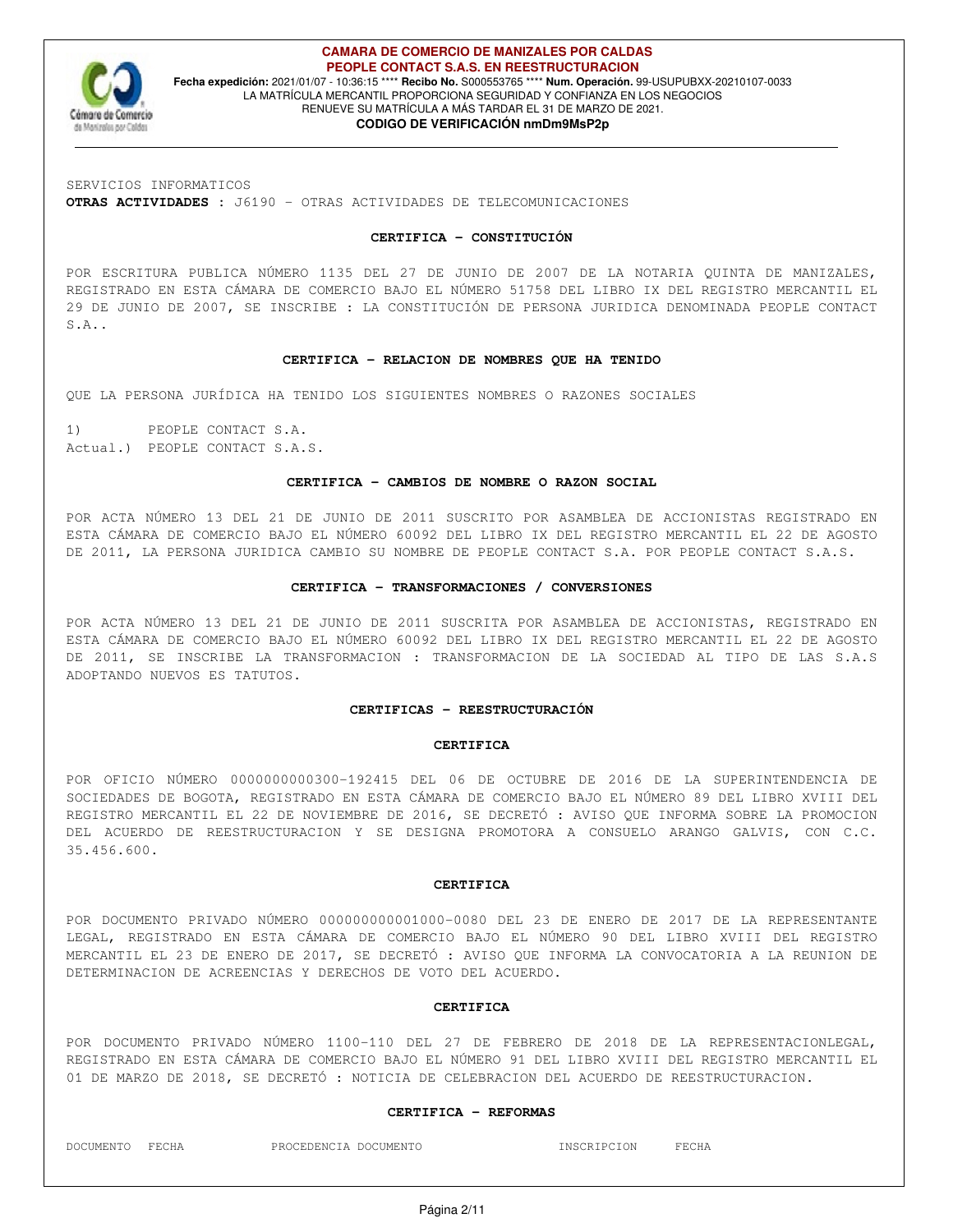

**CAMARA DE COMERCIO DE MANIZALES POR CALDAS PEOPLE CONTACT S.A.S. EN REESTRUCTURACION Fecha expedición:** 2021/01/07 - 10:36:15 \*\*\*\* **Recibo No.** S000553765 \*\*\*\* **Num. Operación.** 99-USUPUBXX-20210107-0033 LA MATRÍCULA MERCANTIL PROPORCIONA SEGURIDAD Y CONFIANZA EN LOS NEGOCIOS RENUEVE SU MATRÍCULA A MÁS TARDAR EL 31 DE MARZO DE 2021.

## **CODIGO DE VERIFICACIÓN nmDm9MsP2p**

SERVICIOS INFORMATICOS

**OTRAS ACTIVIDADES :** J6190 - OTRAS ACTIVIDADES DE TELECOMUNICACIONES

## **CERTIFICA - CONSTITUCIÓN**

POR ESCRITURA PUBLICA NÚMERO 1135 DEL 27 DE JUNIO DE 2007 DE LA NOTARIA QUINTA DE MANIZALES, REGISTRADO EN ESTA CÁMARA DE COMERCIO BAJO EL NÚMERO 51758 DEL LIBRO IX DEL REGISTRO MERCANTIL EL 29 DE JUNIO DE 2007, SE INSCRIBE : LA CONSTITUCIÓN DE PERSONA JURIDICA DENOMINADA PEOPLE CONTACT S.A..

#### **CERTIFICA - RELACION DE NOMBRES QUE HA TENIDO**

QUE LA PERSONA JURÍDICA HA TENIDO LOS SIGUIENTES NOMBRES O RAZONES SOCIALES

1) PEOPLE CONTACT S.A. Actual.) PEOPLE CONTACT S.A.S.

#### **CERTIFICA - CAMBIOS DE NOMBRE O RAZON SOCIAL**

POR ACTA NÚMERO 13 DEL 21 DE JUNIO DE 2011 SUSCRITO POR ASAMBLEA DE ACCIONISTAS REGISTRADO EN ESTA CÁMARA DE COMERCIO BAJO EL NÚMERO 60092 DEL LIBRO IX DEL REGISTRO MERCANTIL EL 22 DE AGOSTO DE 2011, LA PERSONA JURIDICA CAMBIO SU NOMBRE DE PEOPLE CONTACT S.A. POR PEOPLE CONTACT S.A.S.

#### **CERTIFICA - TRANSFORMACIONES / CONVERSIONES**

POR ACTA NÚMERO 13 DEL 21 DE JUNIO DE 2011 SUSCRITA POR ASAMBLEA DE ACCIONISTAS, REGISTRADO EN ESTA CÁMARA DE COMERCIO BAJO EL NÚMERO 60092 DEL LIBRO IX DEL REGISTRO MERCANTIL EL 22 DE AGOSTO DE 2011, SE INSCRIBE LA TRANSFORMACION : TRANSFORMACION DE LA SOCIEDAD AL TIPO DE LAS S.A.S ADOPTANDO NUEVOS ES TATUTOS.

#### **CERTIFICAS - REESTRUCTURACIÓN**

#### **CERTIFICA**

POR OFICIO NÚMERO 0000000000300-192415 DEL 06 DE OCTUBRE DE 2016 DE LA SUPERINTENDENCIA DE SOCIEDADES DE BOGOTA, REGISTRADO EN ESTA CÁMARA DE COMERCIO BAJO EL NÚMERO 89 DEL LIBRO XVIII DEL REGISTRO MERCANTIL EL 22 DE NOVIEMBRE DE 2016, SE DECRETÓ : AVISO QUE INFORMA SOBRE LA PROMOCION DEL ACUERDO DE REESTRUCTURACION Y SE DESIGNA PROMOTORA A CONSUELO ARANGO GALVIS, CON C.C. 35.456.600.

#### **CERTIFICA**

POR DOCUMENTO PRIVADO NÚMERO 000000000001000-0080 DEL 23 DE ENERO DE 2017 DE LA REPRESENTANTE LEGAL, REGISTRADO EN ESTA CÁMARA DE COMERCIO BAJO EL NÚMERO 90 DEL LIBRO XVIII DEL REGISTRO MERCANTIL EL 23 DE ENERO DE 2017, SE DECRETÓ : AVISO QUE INFORMA LA CONVOCATORIA A LA REUNION DE DETERMINACION DE ACREENCIAS Y DERECHOS DE VOTO DEL ACUERDO.

#### **CERTIFICA**

POR DOCUMENTO PRIVADO NÚMERO 1100-110 DEL 27 DE FEBRERO DE 2018 DE LA REPRESENTACIONLEGAL, REGISTRADO EN ESTA CÁMARA DE COMERCIO BAJO EL NÚMERO 91 DEL LIBRO XVIII DEL REGISTRO MERCANTIL EL 01 DE MARZO DE 2018, SE DECRETÓ : NOTICIA DE CELEBRACION DEL ACUERDO DE REESTRUCTURACION.

#### **CERTIFICA - REFORMAS**

DOCUMENTO FECHA PROCEDENCIA DOCUMENTO INSCRIPCION FECHA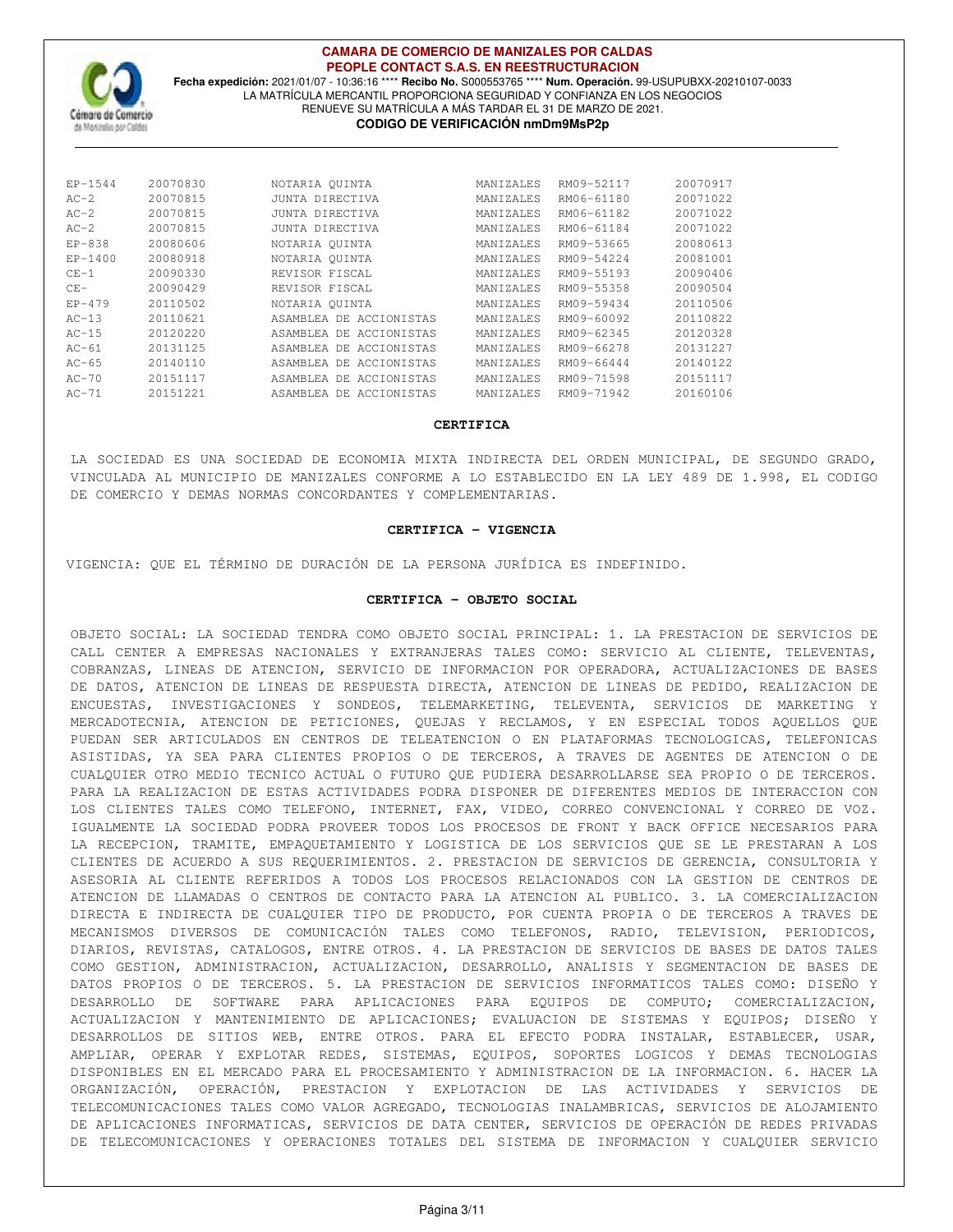

## **CAMARA DE COMERCIO DE MANIZALES POR CALDAS PEOPLE CONTACT S.A.S. EN REESTRUCTURACION**

**Fecha expedición:** 2021/01/07 - 10:36:16 \*\*\*\* **Recibo No.** S000553765 \*\*\*\* **Num. Operación.** 99-USUPUBXX-20210107-0033 LA MATRÍCULA MERCANTIL PROPORCIONA SEGURIDAD Y CONFIANZA EN LOS NEGOCIOS RENUEVE SU MATRÍCULA A MÁS TARDAR EL 31 DE MARZO DE 2021. **CODIGO DE VERIFICACIÓN nmDm9MsP2p**

| $EP-1544$ | 20070830 | NOTARIA OUINTA          | MANIZALES        | RM09-52117 | 20070917 |
|-----------|----------|-------------------------|------------------|------------|----------|
| $AC-2$    | 20070815 | JUNTA DIRECTIVA         | MANIZALES        | RM06-61180 | 20071022 |
| $AC-2$    | 20070815 | JUNTA DIRECTIVA         | <b>MANTZALES</b> | RM06-61182 | 20071022 |
| $AC-2$    | 20070815 | JUNTA DIRECTIVA         | MANIZALES        | RM06-61184 | 20071022 |
| $EP-838$  | 20080606 | NOTARIA QUINTA          | MANIZALES        | RM09-53665 | 20080613 |
| $EP-1400$ | 20080918 | NOTARIA OUINTA          | MANTZALES        | RM09-54224 | 20081001 |
| $CF-1$    | 20090330 | REVISOR FISCAL          | MANIZALES        | RM09-55193 | 20090406 |
| $CF -$    | 20090429 | REVISOR FISCAL          | MANIZALES        | RM09-55358 | 20090504 |
| $EP-479$  | 20110502 | NOTARIA QUINTA          | MANIZALES        | RM09-59434 | 20110506 |
| $AC-13$   | 20110621 | ASAMBLEA DE ACCIONISTAS | MANIZALES        | RM09-60092 | 20110822 |
| $AC-15$   | 20120220 | ASAMBLEA DE ACCIONISTAS | MANIZALES        | RM09-62345 | 20120328 |
| $AC-61$   | 20131125 | ASAMBLEA DE ACCIONISTAS | <b>MANTZALES</b> | RM09-66278 | 20131227 |
| $AC-65$   | 20140110 | ASAMBLEA DE ACCIONISTAS | MANIZALES        | RM09-66444 | 20140122 |
| $AC-70$   | 20151117 | ASAMBLEA DE ACCIONISTAS | MANIZALES        | RM09-71598 | 20151117 |
| $AC-71$   | 20151221 | ASAMBLEA DE ACCIONISTAS | <b>MANTZALES</b> | RM09-71942 | 20160106 |
|           |          |                         |                  |            |          |

#### **CERTIFICA**

LA SOCIEDAD ES UNA SOCIEDAD DE ECONOMIA MIXTA INDIRECTA DEL ORDEN MUNICIPAL, DE SEGUNDO GRADO, VINCULADA AL MUNICIPIO DE MANIZALES CONFORME A LO ESTABLECIDO EN LA LEY 489 DE 1.998, EL CODIGO DE COMERCIO Y DEMAS NORMAS CONCORDANTES Y COMPLEMENTARIAS.

## **CERTIFICA - VIGENCIA**

VIGENCIA: QUE EL TÉRMINO DE DURACIÓN DE LA PERSONA JURÍDICA ES INDEFINIDO.

## **CERTIFICA - OBJETO SOCIAL**

OBJETO SOCIAL: LA SOCIEDAD TENDRA COMO OBJETO SOCIAL PRINCIPAL: 1. LA PRESTACION DE SERVICIOS DE CALL CENTER A EMPRESAS NACIONALES Y EXTRANJERAS TALES COMO: SERVICIO AL CLIENTE, TELEVENTAS, COBRANZAS, LINEAS DE ATENCION, SERVICIO DE INFORMACION POR OPERADORA, ACTUALIZACIONES DE BASES DE DATOS, ATENCION DE LINEAS DE RESPUESTA DIRECTA, ATENCION DE LINEAS DE PEDIDO, REALIZACION DE ENCUESTAS, INVESTIGACIONES Y SONDEOS, TELEMARKETING, TELEVENTA, SERVICIOS DE MARKETING Y MERCADOTECNIA, ATENCION DE PETICIONES, QUEJAS Y RECLAMOS, Y EN ESPECIAL TODOS AQUELLOS QUE PUEDAN SER ARTICULADOS EN CENTROS DE TELEATENCION O EN PLATAFORMAS TECNOLOGICAS, TELEFONICAS ASISTIDAS, YA SEA PARA CLIENTES PROPIOS O DE TERCEROS, A TRAVES DE AGENTES DE ATENCION O DE CUALQUIER OTRO MEDIO TECNICO ACTUAL O FUTURO QUE PUDIERA DESARROLLARSE SEA PROPIO O DE TERCEROS. PARA LA REALIZACION DE ESTAS ACTIVIDADES PODRA DISPONER DE DIFERENTES MEDIOS DE INTERACCION CON LOS CLIENTES TALES COMO TELEFONO, INTERNET, FAX, VIDEO, CORREO CONVENCIONAL Y CORREO DE VOZ. IGUALMENTE LA SOCIEDAD PODRA PROVEER TODOS LOS PROCESOS DE FRONT Y BACK OFFICE NECESARIOS PARA LA RECEPCION, TRAMITE, EMPAQUETAMIENTO Y LOGISTICA DE LOS SERVICIOS QUE SE LE PRESTARAN A LOS CLIENTES DE ACUERDO A SUS REQUERIMIENTOS. 2. PRESTACION DE SERVICIOS DE GERENCIA, CONSULTORIA Y ASESORIA AL CLIENTE REFERIDOS A TODOS LOS PROCESOS RELACIONADOS CON LA GESTION DE CENTROS DE ATENCION DE LLAMADAS O CENTROS DE CONTACTO PARA LA ATENCION AL PUBLICO. 3. LA COMERCIALIZACION DIRECTA E INDIRECTA DE CUALQUIER TIPO DE PRODUCTO, POR CUENTA PROPIA O DE TERCEROS A TRAVES DE MECANISMOS DIVERSOS DE COMUNICACIÓN TALES COMO TELEFONOS, RADIO, TELEVISION, PERIODICOS, DIARIOS, REVISTAS, CATALOGOS, ENTRE OTROS. 4. LA PRESTACION DE SERVICIOS DE BASES DE DATOS TALES COMO GESTION, ADMINISTRACION, ACTUALIZACION, DESARROLLO, ANALISIS Y SEGMENTACION DE BASES DE DATOS PROPIOS O DE TERCEROS. 5. LA PRESTACION DE SERVICIOS INFORMATICOS TALES COMO: DISEÑO Y DESARROLLO DE SOFTWARE PARA APLICACIONES PARA EQUIPOS DE COMPUTO; COMERCIALIZACION, ACTUALIZACION Y MANTENIMIENTO DE APLICACIONES; EVALUACION DE SISTEMAS Y EQUIPOS; DISEÑO Y DESARROLLOS DE SITIOS WEB, ENTRE OTROS. PARA EL EFECTO PODRA INSTALAR, ESTABLECER, USAR, AMPLIAR, OPERAR Y EXPLOTAR REDES, SISTEMAS, EQUIPOS, SOPORTES LOGICOS Y DEMAS TECNOLOGIAS DISPONIBLES EN EL MERCADO PARA EL PROCESAMIENTO Y ADMINISTRACION DE LA INFORMACION. 6. HACER LA ORGANIZACIÓN, OPERACIÓN, PRESTACION Y EXPLOTACION DE LAS ACTIVIDADES Y SERVICIOS DE TELECOMUNICACIONES TALES COMO VALOR AGREGADO, TECNOLOGIAS INALAMBRICAS, SERVICIOS DE ALOJAMIENTO DE APLICACIONES INFORMATICAS, SERVICIOS DE DATA CENTER, SERVICIOS DE OPERACIÓN DE REDES PRIVADAS DE TELECOMUNICACIONES Y OPERACIONES TOTALES DEL SISTEMA DE INFORMACION Y CUALQUIER SERVICIO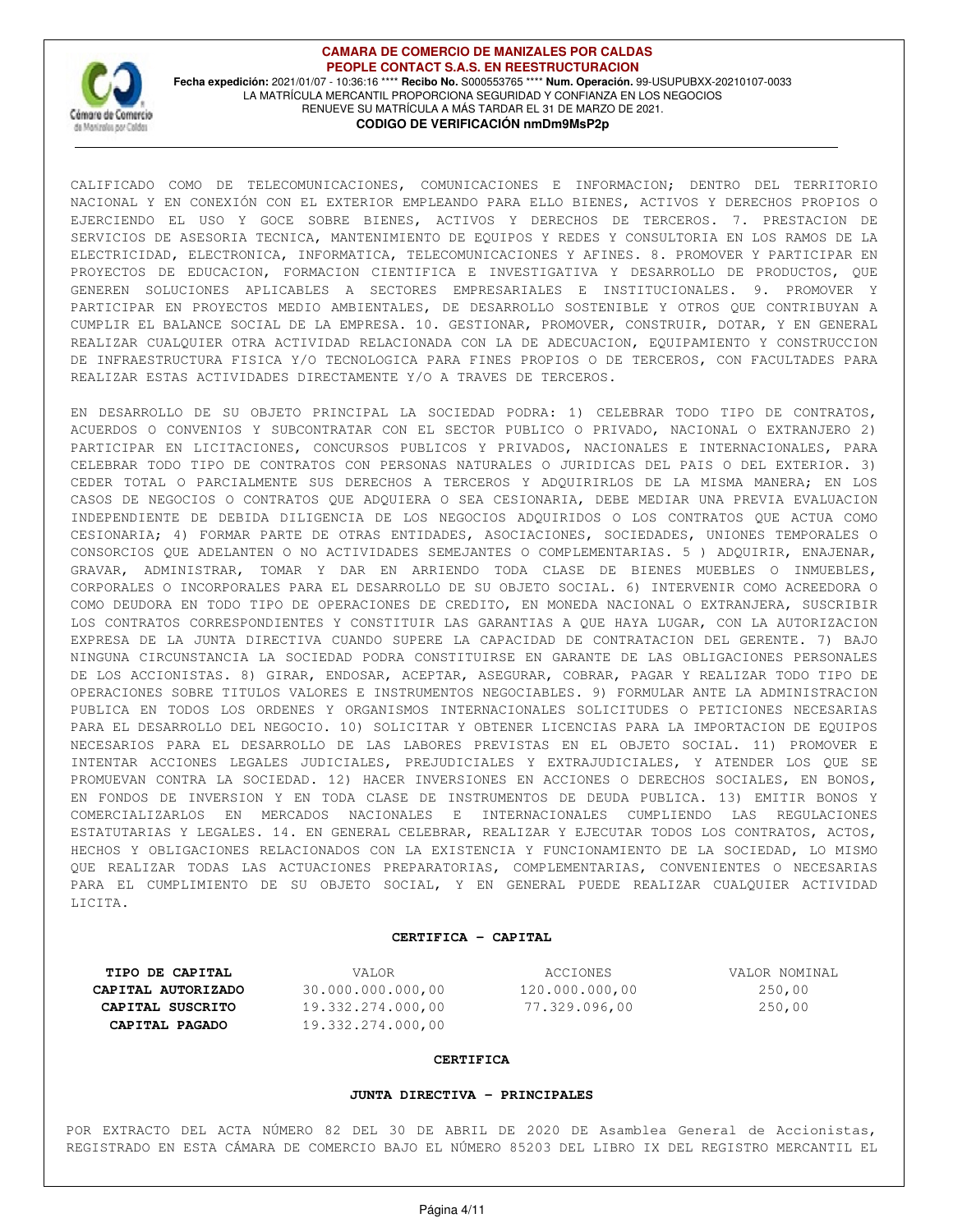

**CAMARA DE COMERCIO DE MANIZALES POR CALDAS PEOPLE CONTACT S.A.S. EN REESTRUCTURACION Fecha expedición:** 2021/01/07 - 10:36:16 \*\*\*\* **Recibo No.** S000553765 \*\*\*\* **Num. Operación.** 99-USUPUBXX-20210107-0033 LA MATRÍCULA MERCANTIL PROPORCIONA SEGURIDAD Y CONFIANZA EN LOS NEGOCIOS RENUEVE SU MATRÍCULA A MÁS TARDAR EL 31 DE MARZO DE 2021. **CODIGO DE VERIFICACIÓN nmDm9MsP2p**

CALIFICADO COMO DE TELECOMUNICACIONES, COMUNICACIONES E INFORMACION; DENTRO DEL TERRITORIO NACIONAL Y EN CONEXIÓN CON EL EXTERIOR EMPLEANDO PARA ELLO BIENES, ACTIVOS Y DERECHOS PROPIOS O EJERCIENDO EL USO Y GOCE SOBRE BIENES, ACTIVOS Y DERECHOS DE TERCEROS. 7. PRESTACION DE SERVICIOS DE ASESORIA TECNICA, MANTENIMIENTO DE EQUIPOS Y REDES Y CONSULTORIA EN LOS RAMOS DE LA ELECTRICIDAD, ELECTRONICA, INFORMATICA, TELECOMUNICACIONES Y AFINES. 8. PROMOVER Y PARTICIPAR EN PROYECTOS DE EDUCACION, FORMACION CIENTIFICA E INVESTIGATIVA Y DESARROLLO DE PRODUCTOS, QUE GENEREN SOLUCIONES APLICABLES A SECTORES EMPRESARIALES E INSTITUCIONALES. 9. PROMOVER Y PARTICIPAR EN PROYECTOS MEDIO AMBIENTALES, DE DESARROLLO SOSTENIBLE Y OTROS QUE CONTRIBUYAN A CUMPLIR EL BALANCE SOCIAL DE LA EMPRESA. 10. GESTIONAR, PROMOVER, CONSTRUIR, DOTAR, Y EN GENERAL REALIZAR CUALQUIER OTRA ACTIVIDAD RELACIONADA CON LA DE ADECUACION, EQUIPAMIENTO Y CONSTRUCCION DE INFRAESTRUCTURA FISICA Y/O TECNOLOGICA PARA FINES PROPIOS O DE TERCEROS, CON FACULTADES PARA REALIZAR ESTAS ACTIVIDADES DIRECTAMENTE Y/O A TRAVES DE TERCEROS.

EN DESARROLLO DE SU OBJETO PRINCIPAL LA SOCIEDAD PODRA: 1) CELEBRAR TODO TIPO DE CONTRATOS, ACUERDOS O CONVENIOS Y SUBCONTRATAR CON EL SECTOR PUBLICO O PRIVADO, NACIONAL O EXTRANJERO 2) PARTICIPAR EN LICITACIONES, CONCURSOS PUBLICOS Y PRIVADOS, NACIONALES E INTERNACIONALES, PARA CELEBRAR TODO TIPO DE CONTRATOS CON PERSONAS NATURALES O JURIDICAS DEL PAIS O DEL EXTERIOR. 3) CEDER TOTAL O PARCIALMENTE SUS DERECHOS A TERCEROS Y ADQUIRIRLOS DE LA MISMA MANERA; EN LOS CASOS DE NEGOCIOS O CONTRATOS QUE ADQUIERA O SEA CESIONARIA, DEBE MEDIAR UNA PREVIA EVALUACION INDEPENDIENTE DE DEBIDA DILIGENCIA DE LOS NEGOCIOS ADQUIRIDOS O LOS CONTRATOS QUE ACTUA COMO CESIONARIA; 4) FORMAR PARTE DE OTRAS ENTIDADES, ASOCIACIONES, SOCIEDADES, UNIONES TEMPORALES O CONSORCIOS QUE ADELANTEN O NO ACTIVIDADES SEMEJANTES O COMPLEMENTARIAS. 5 ) ADQUIRIR, ENAJENAR, GRAVAR, ADMINISTRAR, TOMAR Y DAR EN ARRIENDO TODA CLASE DE BIENES MUEBLES O INMUEBLES, CORPORALES O INCORPORALES PARA EL DESARROLLO DE SU OBJETO SOCIAL. 6) INTERVENIR COMO ACREEDORA O COMO DEUDORA EN TODO TIPO DE OPERACIONES DE CREDITO, EN MONEDA NACIONAL O EXTRANJERA, SUSCRIBIR LOS CONTRATOS CORRESPONDIENTES Y CONSTITUIR LAS GARANTIAS A QUE HAYA LUGAR, CON LA AUTORIZACION EXPRESA DE LA JUNTA DIRECTIVA CUANDO SUPERE LA CAPACIDAD DE CONTRATACION DEL GERENTE. 7) BAJO NINGUNA CIRCUNSTANCIA LA SOCIEDAD PODRA CONSTITUIRSE EN GARANTE DE LAS OBLIGACIONES PERSONALES DE LOS ACCIONISTAS. 8) GIRAR, ENDOSAR, ACEPTAR, ASEGURAR, COBRAR, PAGAR Y REALIZAR TODO TIPO DE OPERACIONES SOBRE TITULOS VALORES E INSTRUMENTOS NEGOCIABLES. 9) FORMULAR ANTE LA ADMINISTRACION PUBLICA EN TODOS LOS ORDENES Y ORGANISMOS INTERNACIONALES SOLICITUDES O PETICIONES NECESARIAS PARA EL DESARROLLO DEL NEGOCIO. 10) SOLICITAR Y OBTENER LICENCIAS PARA LA IMPORTACION DE EQUIPOS NECESARIOS PARA EL DESARROLLO DE LAS LABORES PREVISTAS EN EL OBJETO SOCIAL. 11) PROMOVER E INTENTAR ACCIONES LEGALES JUDICIALES, PREJUDICIALES Y EXTRAJUDICIALES, Y ATENDER LOS QUE SE PROMUEVAN CONTRA LA SOCIEDAD. 12) HACER INVERSIONES EN ACCIONES O DERECHOS SOCIALES, EN BONOS, EN FONDOS DE INVERSION Y EN TODA CLASE DE INSTRUMENTOS DE DEUDA PUBLICA. 13) EMITIR BONOS Y COMERCIALIZARLOS EN MERCADOS NACIONALES E INTERNACIONALES CUMPLIENDO LAS REGULACIONES ESTATUTARIAS Y LEGALES. 14. EN GENERAL CELEBRAR, REALIZAR Y EJECUTAR TODOS LOS CONTRATOS, ACTOS, HECHOS Y OBLIGACIONES RELACIONADOS CON LA EXISTENCIA Y FUNCIONAMIENTO DE LA SOCIEDAD, LO MISMO QUE REALIZAR TODAS LAS ACTUACIONES PREPARATORIAS, COMPLEMENTARIAS, CONVENIENTES O NECESARIAS PARA EL CUMPLIMIENTO DE SU OBJETO SOCIAL, Y EN GENERAL PUEDE REALIZAR CUALQUIER ACTIVIDAD LICITA.

#### **CERTIFICA - CAPITAL**

**CAPITAL AUTORIZADO** 30.000.000.000,00 120.000.000,00 250,00

**CAPITAL SUSCRITO** 19.332.274.000,00 77.329.096,00 250,00 **CAPITAL PAGADO** 19.332.274.000,00

**TIPO DE CAPITAL** VALOR VALOR VALOR ACCIONES VALOR NOMINAL

#### **CERTIFICA**

#### **JUNTA DIRECTIVA - PRINCIPALES**

POR EXTRACTO DEL ACTA NÚMERO 82 DEL 30 DE ABRIL DE 2020 DE Asamblea General de Accionistas, REGISTRADO EN ESTA CÁMARA DE COMERCIO BAJO EL NÚMERO 85203 DEL LIBRO IX DEL REGISTRO MERCANTIL EL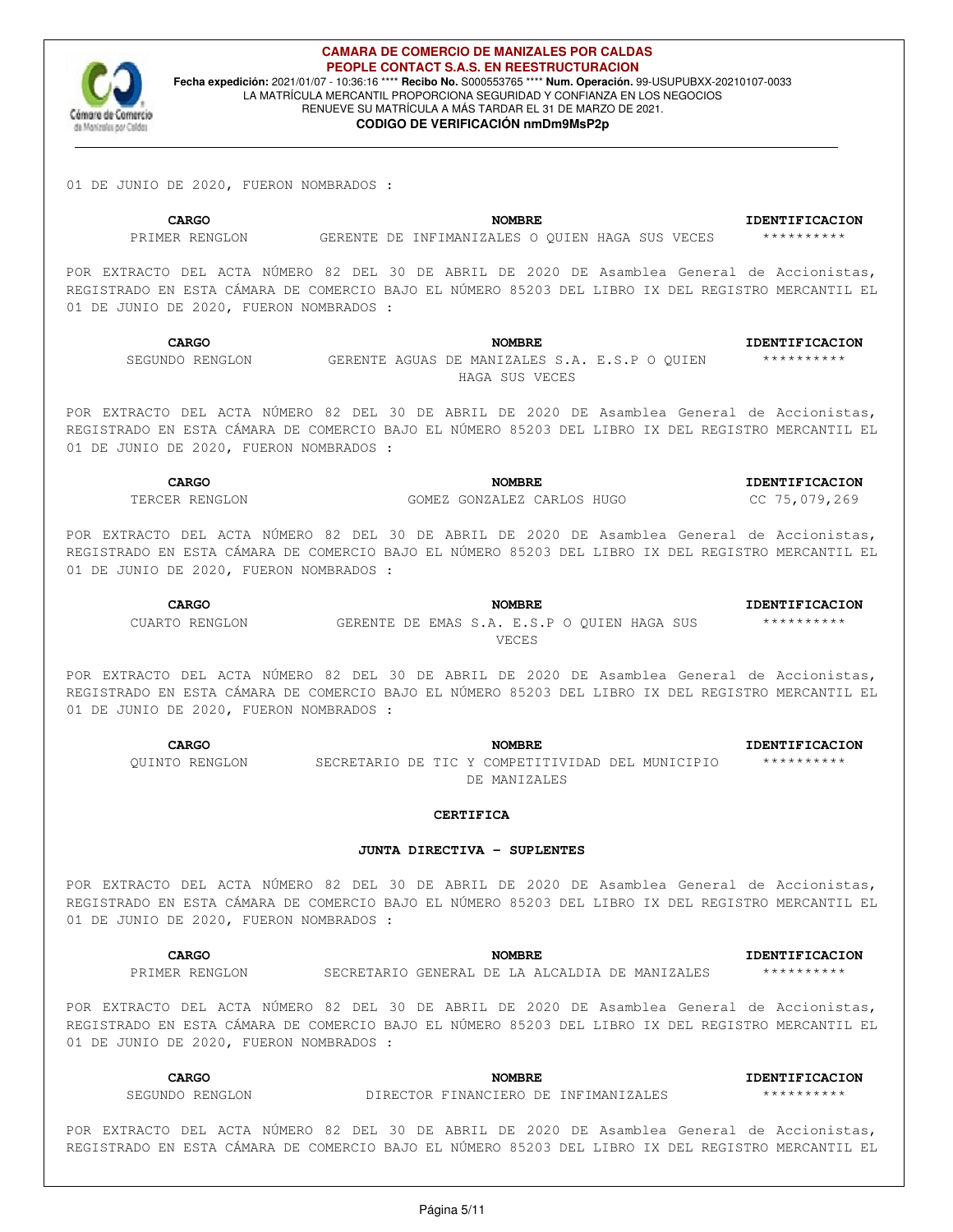

### **CAMARA DE COMERCIO DE MANIZALES POR CALDAS PEOPLE CONTACT S.A.S. EN REESTRUCTURACION Fecha expedición:** 2021/01/07 - 10:36:16 \*\*\*\* **Recibo No.** S000553765 \*\*\*\* **Num. Operación.** 99-USUPUBXX-20210107-0033 LA MATRÍCULA MERCANTIL PROPORCIONA SEGURIDAD Y CONFIANZA EN LOS NEGOCIOS RENUEVE SU MATRÍCULA A MÁS TARDAR EL 31 DE MARZO DE 2021.

#### **CODIGO DE VERIFICACIÓN nmDm9MsP2p**

01 DE JUNIO DE 2020, FUERON NOMBRADOS :

**CARGO NOMBRE IDENTIFICACION** PRIMER RENGLON GERENTE DE INFIMANIZALES O QUIEN HAGA SUS VECES \*\*\*\*\*\*\*\*\*\*\*

POR EXTRACTO DEL ACTA NÚMERO 82 DEL 30 DE ABRIL DE 2020 DE Asamblea General de Accionistas, REGISTRADO EN ESTA CÁMARA DE COMERCIO BAJO EL NÚMERO 85203 DEL LIBRO IX DEL REGISTRO MERCANTIL EL 01 DE JUNIO DE 2020, FUERON NOMBRADOS :

**CARGO NOMBRE IDENTIFICACION** SEGUNDO RENGLON GERENTE AGUAS DE MANIZALES S.A. E.S.P O QUIEN HAGA SUS VECES \*\*\*\*\*\*\*\*\*\*

POR EXTRACTO DEL ACTA NÚMERO 82 DEL 30 DE ABRIL DE 2020 DE Asamblea General de Accionistas, REGISTRADO EN ESTA CÁMARA DE COMERCIO BAJO EL NÚMERO 85203 DEL LIBRO IX DEL REGISTRO MERCANTIL EL 01 DE JUNIO DE 2020, FUERON NOMBRADOS :

**CARGO NOMBRE IDENTIFICACION** TERCER RENGLON GOMEZ GONZALEZ CARLOS HUGO CC 75,079,269

POR EXTRACTO DEL ACTA NÚMERO 82 DEL 30 DE ABRIL DE 2020 DE Asamblea General de Accionistas, REGISTRADO EN ESTA CÁMARA DE COMERCIO BAJO EL NÚMERO 85203 DEL LIBRO IX DEL REGISTRO MERCANTIL EL 01 DE JUNIO DE 2020, FUERON NOMBRADOS :

| <b>CARGO</b>   | <b>NOMBRE</b>                               | <b>IDENTIFICACION</b> |  |  |  |  |
|----------------|---------------------------------------------|-----------------------|--|--|--|--|
| CUARTO RENGLON | GERENTE DE EMAS S.A. E.S.P O OUIEN HAGA SUS | **********            |  |  |  |  |
| VECES          |                                             |                       |  |  |  |  |

POR EXTRACTO DEL ACTA NÚMERO 82 DEL 30 DE ABRIL DE 2020 DE Asamblea General de Accionistas, REGISTRADO EN ESTA CÁMARA DE COMERCIO BAJO EL NÚMERO 85203 DEL LIBRO IX DEL REGISTRO MERCANTIL EL 01 DE JUNIO DE 2020, FUERON NOMBRADOS :

**CARGO NOMBRE IDENTIFICACION** QUINTO RENGLON SECRETARIO DE TIC Y COMPETITIVIDAD DEL MUNICIPIO DE MANIZALES \*\*\*\*\*\*\*\*\*\*

#### **CERTIFICA**

#### **JUNTA DIRECTIVA - SUPLENTES**

POR EXTRACTO DEL ACTA NÚMERO 82 DEL 30 DE ABRIL DE 2020 DE Asamblea General de Accionistas, REGISTRADO EN ESTA CÁMARA DE COMERCIO BAJO EL NÚMERO 85203 DEL LIBRO IX DEL REGISTRO MERCANTIL EL 01 DE JUNIO DE 2020, FUERON NOMBRADOS :

**CARGO NOMBRE IDENTIFICACION** PRIMER RENGLON SECRETARIO GENERAL DE LA ALCALDIA DE MANIZALES \*\*\*\*\*\*\*\*\*\*\*\*

POR EXTRACTO DEL ACTA NÚMERO 82 DEL 30 DE ABRIL DE 2020 DE Asamblea General de Accionistas, REGISTRADO EN ESTA CÁMARA DE COMERCIO BAJO EL NÚMERO 85203 DEL LIBRO IX DEL REGISTRO MERCANTIL EL 01 DE JUNIO DE 2020, FUERON NOMBRADOS :

**CARGO NOMBRE IDENTIFICACION** SEGUNDO RENGLON DIRECTOR FINANCIERO DE INFIMANIZALES \*\*\*\*\*\*\*\*\*\*\*\*\*\*\*\*\*\*\*\*\*\*\*\*\*\*\*\*

POR EXTRACTO DEL ACTA NÚMERO 82 DEL 30 DE ABRIL DE 2020 DE Asamblea General de Accionistas, REGISTRADO EN ESTA CÁMARA DE COMERCIO BAJO EL NÚMERO 85203 DEL LIBRO IX DEL REGISTRO MERCANTIL EL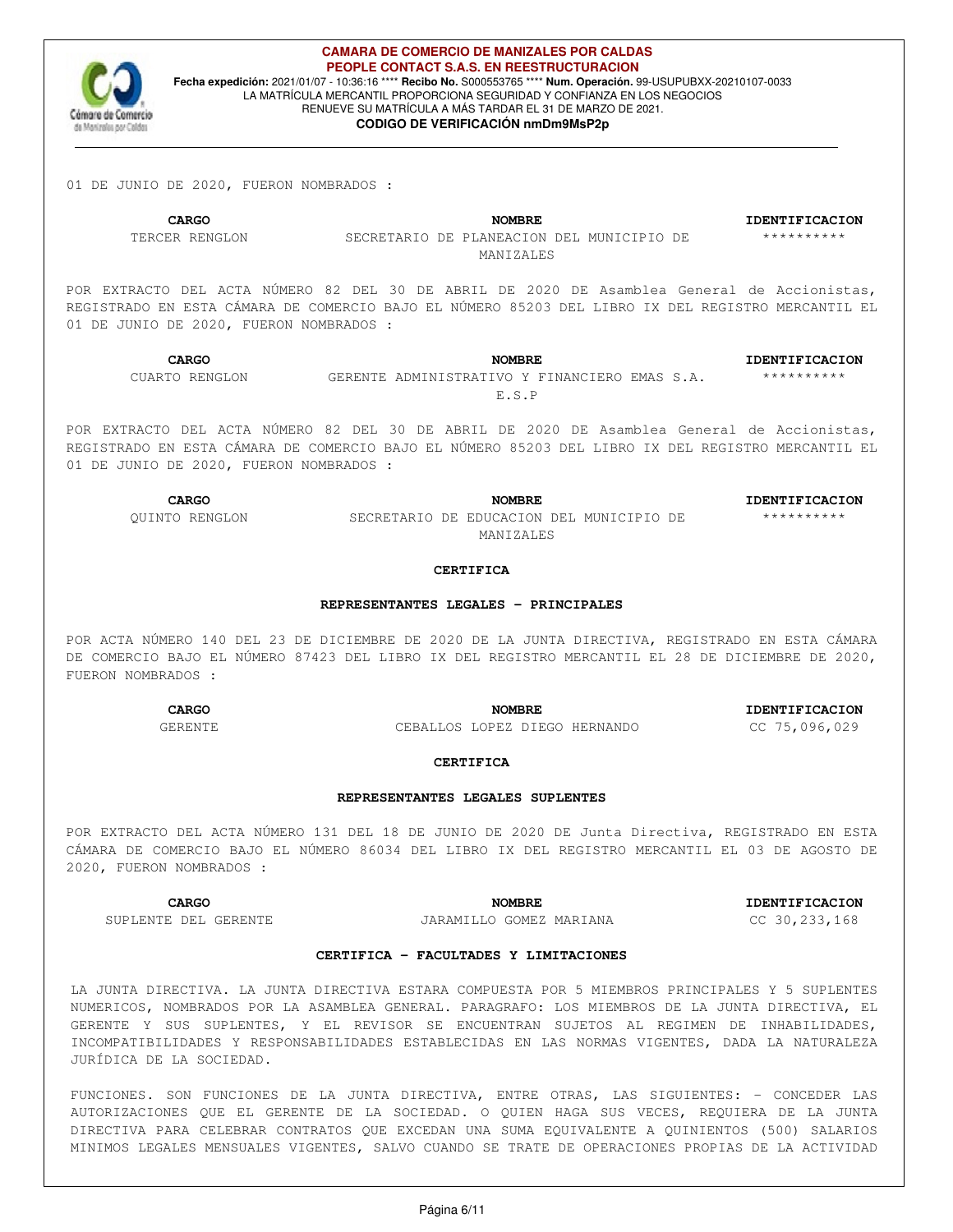

#### **CAMARA DE COMERCIO DE MANIZALES POR CALDAS PEOPLE CONTACT S.A.S. EN REESTRUCTURACION Fecha expedición:** 2021/01/07 - 10:36:16 \*\*\*\* **Recibo No.** S000553765 \*\*\*\* **Num. Operación.** 99-USUPUBXX-20210107-0033 LA MATRÍCULA MERCANTIL PROPORCIONA SEGURIDAD Y CONFIANZA EN LOS NEGOCIOS RENUEVE SU MATRÍCULA A MÁS TARDAR EL 31 DE MARZO DE 2021.

## **CODIGO DE VERIFICACIÓN nmDm9MsP2p**

01 DE JUNIO DE 2020, FUERON NOMBRADOS :

**CARGO NOMBRE IDENTIFICACION** TERCER RENGLON SECRETARIO DE PLANEACION DEL MUNICIPIO DE MANIZALES

POR EXTRACTO DEL ACTA NÚMERO 82 DEL 30 DE ABRIL DE 2020 DE Asamblea General de Accionistas, REGISTRADO EN ESTA CÁMARA DE COMERCIO BAJO EL NÚMERO 85203 DEL LIBRO IX DEL REGISTRO MERCANTIL EL 01 DE JUNIO DE 2020, FUERON NOMBRADOS :

**CARGO NOMBRE IDENTIFICACION**

\*\*\*\*\*\*\*\*\*\*

CUARTO RENGLON GERENTE ADMINISTRATIVO Y FINANCIERO EMAS S.A.

\*\*\*\*\*\*\*\*\*\*

E.S.P

POR EXTRACTO DEL ACTA NÚMERO 82 DEL 30 DE ABRIL DE 2020 DE Asamblea General de Accionistas, REGISTRADO EN ESTA CÁMARA DE COMERCIO BAJO EL NÚMERO 85203 DEL LIBRO IX DEL REGISTRO MERCANTIL EL 01 DE JUNIO DE 2020, FUERON NOMBRADOS :

**CARGO NOMBRE IDENTIFICACION** QUINTO RENGLON SECRETARIO DE EDUCACION DEL MUNICIPIO DE MANIZALES

#### \*\*\*\*\*\*\*\*\*\*

#### **CERTIFICA**

### **REPRESENTANTES LEGALES - PRINCIPALES**

POR ACTA NÚMERO 140 DEL 23 DE DICIEMBRE DE 2020 DE LA JUNTA DIRECTIVA, REGISTRADO EN ESTA CÁMARA DE COMERCIO BAJO EL NÚMERO 87423 DEL LIBRO IX DEL REGISTRO MERCANTIL EL 28 DE DICIEMBRE DE 2020, FUERON NOMBRADOS :

> **CARGO NOMBRE IDENTIFICACION** GERENTE CEBALLOS LOPEZ DIEGO HERNANDO CC 75,096,029

#### **CERTIFICA**

#### **REPRESENTANTES LEGALES SUPLENTES**

POR EXTRACTO DEL ACTA NÚMERO 131 DEL 18 DE JUNIO DE 2020 DE Junta Directiva, REGISTRADO EN ESTA CÁMARA DE COMERCIO BAJO EL NÚMERO 86034 DEL LIBRO IX DEL REGISTRO MERCANTIL EL 03 DE AGOSTO DE 2020, FUERON NOMBRADOS :

SUPLENTE DEL GERENTE JARAMILLO GOMEZ MARIANA CC 30,233,168

**CARGO NOMBRE IDENTIFICACION**

## **CERTIFICA - FACULTADES Y LIMITACIONES**

LA JUNTA DIRECTIVA. LA JUNTA DIRECTIVA ESTARA COMPUESTA POR 5 MIEMBROS PRINCIPALES Y 5 SUPLENTES NUMERICOS, NOMBRADOS POR LA ASAMBLEA GENERAL. PARAGRAFO: LOS MIEMBROS DE LA JUNTA DIRECTIVA, EL GERENTE Y SUS SUPLENTES, Y EL REVISOR SE ENCUENTRAN SUJETOS AL REGIMEN DE INHABILIDADES, INCOMPATIBILIDADES Y RESPONSABILIDADES ESTABLECIDAS EN LAS NORMAS VIGENTES, DADA LA NATURALEZA JURÍDICA DE LA SOCIEDAD.

FUNCIONES. SON FUNCIONES DE LA JUNTA DIRECTIVA, ENTRE OTRAS, LAS SIGUIENTES: - CONCEDER LAS AUTORIZACIONES QUE EL GERENTE DE LA SOCIEDAD. O QUIEN HAGA SUS VECES, REQUIERA DE LA JUNTA DIRECTIVA PARA CELEBRAR CONTRATOS QUE EXCEDAN UNA SUMA EQUIVALENTE A QUINIENTOS (500) SALARIOS MINIMOS LEGALES MENSUALES VIGENTES, SALVO CUANDO SE TRATE DE OPERACIONES PROPIAS DE LA ACTIVIDAD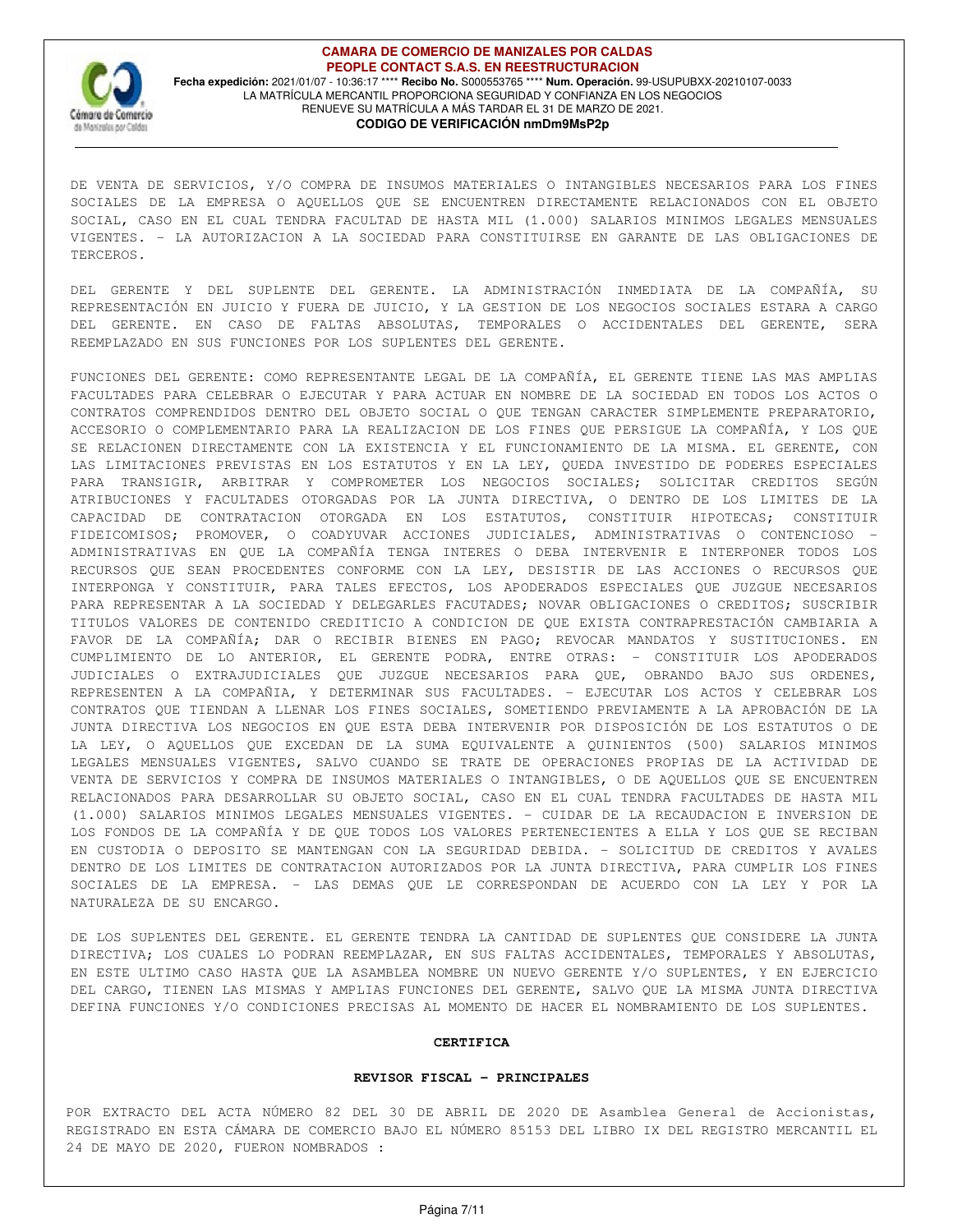

DE VENTA DE SERVICIOS, Y/O COMPRA DE INSUMOS MATERIALES O INTANGIBLES NECESARIOS PARA LOS FINES SOCIALES DE LA EMPRESA O AQUELLOS QUE SE ENCUENTREN DIRECTAMENTE RELACIONADOS CON EL OBJETO SOCIAL, CASO EN EL CUAL TENDRA FACULTAD DE HASTA MIL (1.000) SALARIOS MINIMOS LEGALES MENSUALES VIGENTES. - LA AUTORIZACION A LA SOCIEDAD PARA CONSTITUIRSE EN GARANTE DE LAS OBLIGACIONES DE TERCEROS.

DEL GERENTE Y DEL SUPLENTE DEL GERENTE. LA ADMINISTRACIÓN INMEDIATA DE LA COMPAÑÍA, SU REPRESENTACIÓN EN JUICIO Y FUERA DE JUICIO, Y LA GESTION DE LOS NEGOCIOS SOCIALES ESTARA A CARGO DEL GERENTE. EN CASO DE FALTAS ABSOLUTAS, TEMPORALES O ACCIDENTALES DEL GERENTE, SERA REEMPLAZADO EN SUS FUNCIONES POR LOS SUPLENTES DEL GERENTE.

FUNCIONES DEL GERENTE: COMO REPRESENTANTE LEGAL DE LA COMPAÑÍA, EL GERENTE TIENE LAS MAS AMPLIAS FACULTADES PARA CELEBRAR O EJECUTAR Y PARA ACTUAR EN NOMBRE DE LA SOCIEDAD EN TODOS LOS ACTOS O CONTRATOS COMPRENDIDOS DENTRO DEL OBJETO SOCIAL O QUE TENGAN CARACTER SIMPLEMENTE PREPARATORIO, ACCESORIO O COMPLEMENTARIO PARA LA REALIZACION DE LOS FINES QUE PERSIGUE LA COMPAÑÍA, Y LOS QUE SE RELACIONEN DIRECTAMENTE CON LA EXISTENCIA Y EL FUNCIONAMIENTO DE LA MISMA. EL GERENTE, CON LAS LIMITACIONES PREVISTAS EN LOS ESTATUTOS Y EN LA LEY, QUEDA INVESTIDO DE PODERES ESPECIALES PARA TRANSIGIR, ARBITRAR Y COMPROMETER LOS NEGOCIOS SOCIALES; SOLICITAR CREDITOS SEGÚN ATRIBUCIONES Y FACULTADES OTORGADAS POR LA JUNTA DIRECTIVA, O DENTRO DE LOS LIMITES DE LA CAPACIDAD DE CONTRATACION OTORGADA EN LOS ESTATUTOS, CONSTITUIR HIPOTECAS; CONSTITUIR FIDEICOMISOS; PROMOVER, O COADYUVAR ACCIONES JUDICIALES, ADMINISTRATIVAS O CONTENCIOSO - ADMINISTRATIVAS EN QUE LA COMPAÑÍA TENGA INTERES O DEBA INTERVENIR E INTERPONER TODOS LOS RECURSOS QUE SEAN PROCEDENTES CONFORME CON LA LEY, DESISTIR DE LAS ACCIONES O RECURSOS QUE INTERPONGA Y CONSTITUIR, PARA TALES EFECTOS, LOS APODERADOS ESPECIALES QUE JUZGUE NECESARIOS PARA REPRESENTAR A LA SOCIEDAD Y DELEGARLES FACUTADES; NOVAR OBLIGACIONES O CREDITOS; SUSCRIBIR TITULOS VALORES DE CONTENIDO CREDITICIO A CONDICION DE QUE EXISTA CONTRAPRESTACIÓN CAMBIARIA A FAVOR DE LA COMPAÑÍA; DAR O RECIBIR BIENES EN PAGO; REVOCAR MANDATOS Y SUSTITUCIONES. EN CUMPLIMIENTO DE LO ANTERIOR, EL GERENTE PODRA, ENTRE OTRAS: - CONSTITUIR LOS APODERADOS JUDICIALES O EXTRAJUDICIALES QUE JUZGUE NECESARIOS PARA QUE, OBRANDO BAJO SUS ORDENES, REPRESENTEN A LA COMPAÑIA, Y DETERMINAR SUS FACULTADES. - EJECUTAR LOS ACTOS Y CELEBRAR LOS CONTRATOS QUE TIENDAN A LLENAR LOS FINES SOCIALES, SOMETIENDO PREVIAMENTE A LA APROBACIÓN DE LA JUNTA DIRECTIVA LOS NEGOCIOS EN QUE ESTA DEBA INTERVENIR POR DISPOSICIÓN DE LOS ESTATUTOS O DE LA LEY, O AQUELLOS QUE EXCEDAN DE LA SUMA EQUIVALENTE A QUINIENTOS (500) SALARIOS MINIMOS LEGALES MENSUALES VIGENTES, SALVO CUANDO SE TRATE DE OPERACIONES PROPIAS DE LA ACTIVIDAD DE VENTA DE SERVICIOS Y COMPRA DE INSUMOS MATERIALES O INTANGIBLES, O DE AQUELLOS QUE SE ENCUENTREN RELACIONADOS PARA DESARROLLAR SU OBJETO SOCIAL, CASO EN EL CUAL TENDRA FACULTADES DE HASTA MIL (1.000) SALARIOS MINIMOS LEGALES MENSUALES VIGENTES. - CUIDAR DE LA RECAUDACION E INVERSION DE LOS FONDOS DE LA COMPAÑÍA Y DE QUE TODOS LOS VALORES PERTENECIENTES A ELLA Y LOS QUE SE RECIBAN EN CUSTODIA O DEPOSITO SE MANTENGAN CON LA SEGURIDAD DEBIDA. - SOLICITUD DE CREDITOS Y AVALES DENTRO DE LOS LIMITES DE CONTRATACION AUTORIZADOS POR LA JUNTA DIRECTIVA, PARA CUMPLIR LOS FINES SOCIALES DE LA EMPRESA. - LAS DEMAS QUE LE CORRESPONDAN DE ACUERDO CON LA LEY Y POR LA NATURALEZA DE SU ENCARGO.

DE LOS SUPLENTES DEL GERENTE. EL GERENTE TENDRA LA CANTIDAD DE SUPLENTES QUE CONSIDERE LA JUNTA DIRECTIVA; LOS CUALES LO PODRAN REEMPLAZAR, EN SUS FALTAS ACCIDENTALES, TEMPORALES Y ABSOLUTAS, EN ESTE ULTIMO CASO HASTA QUE LA ASAMBLEA NOMBRE UN NUEVO GERENTE Y/O SUPLENTES, Y EN EJERCICIO DEL CARGO, TIENEN LAS MISMAS Y AMPLIAS FUNCIONES DEL GERENTE, SALVO QUE LA MISMA JUNTA DIRECTIVA DEFINA FUNCIONES Y/O CONDICIONES PRECISAS AL MOMENTO DE HACER EL NOMBRAMIENTO DE LOS SUPLENTES.

#### **CERTIFICA**

#### **REVISOR FISCAL - PRINCIPALES**

POR EXTRACTO DEL ACTA NÚMERO 82 DEL 30 DE ABRIL DE 2020 DE Asamblea General de Accionistas, REGISTRADO EN ESTA CÁMARA DE COMERCIO BAJO EL NÚMERO 85153 DEL LIBRO IX DEL REGISTRO MERCANTIL EL 24 DE MAYO DE 2020, FUERON NOMBRADOS :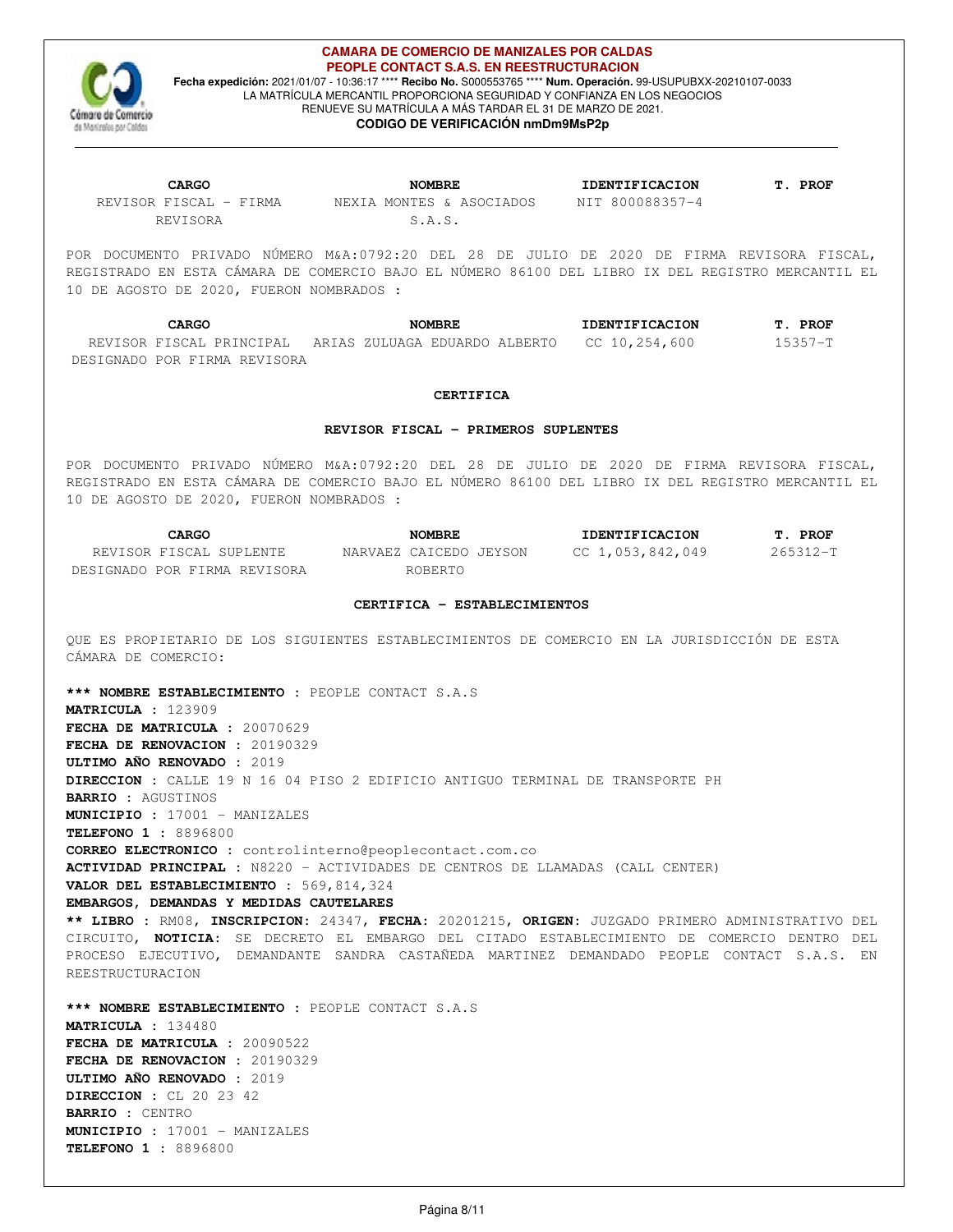

# **CAMARA DE COMERCIO DE MANIZALES POR CALDAS PEOPLE CONTACT S.A.S. EN REESTRUCTURACION**

**Fecha expedición:** 2021/01/07 - 10:36:17 \*\*\*\* **Recibo No.** S000553765 \*\*\*\* **Num. Operación.** 99-USUPUBXX-20210107-0033 LA MATRÍCULA MERCANTIL PROPORCIONA SEGURIDAD Y CONFIANZA EN LOS NEGOCIOS RENUEVE SU MATRÍCULA A MÁS TARDAR EL 31 DE MARZO DE 2021. **CODIGO DE VERIFICACIÓN nmDm9MsP2p**

REVISOR FISCAL - FIRMA REVISORA

NEXIA MONTES & ASOCIADOS S.A.S.

**CARGO NOMBRE IDENTIFICACION T. PROF** NIT 800088357-4

POR DOCUMENTO PRIVADO NÚMERO M&A:0792:20 DEL 28 DE JULIO DE 2020 DE FIRMA REVISORA FISCAL, REGISTRADO EN ESTA CÁMARA DE COMERCIO BAJO EL NÚMERO 86100 DEL LIBRO IX DEL REGISTRO MERCANTIL EL 10 DE AGOSTO DE 2020, FUERON NOMBRADOS :

**CARGO NOMBRE IDENTIFICACION T. PROF** REVISOR FISCAL PRINCIPAL ARIAS ZULUAGA EDUARDO ALBERTO CC 10,254,600 15357-T DESIGNADO POR FIRMA REVISORA

## **CERTIFICA**

## **REVISOR FISCAL - PRIMEROS SUPLENTES**

POR DOCUMENTO PRIVADO NÚMERO M&A:0792:20 DEL 28 DE JULIO DE 2020 DE FIRMA REVISORA FISCAL, REGISTRADO EN ESTA CÁMARA DE COMERCIO BAJO EL NÚMERO 86100 DEL LIBRO IX DEL REGISTRO MERCANTIL EL 10 DE AGOSTO DE 2020, FUERON NOMBRADOS :

| CARGO                        | <b>NOMBRE</b>          | <b>IDENTIFICACION</b> | T. PROF      |
|------------------------------|------------------------|-----------------------|--------------|
| REVISOR FISCAL SUPLENTE      | NARVAEZ CAICEDO JEYSON | CC 1,053,842,049      | $265312 - T$ |
| DESIGNADO POR FIRMA REVISORA | ROBERTO                |                       |              |

# **CERTIFICA - ESTABLECIMIENTOS**

QUE ES PROPIETARIO DE LOS SIGUIENTES ESTABLECIMIENTOS DE COMERCIO EN LA JURISDICCIÓN DE ESTA CÁMARA DE COMERCIO:

**\*\*\* NOMBRE ESTABLECIMIENTO :** PEOPLE CONTACT S.A.S **MATRICULA :** 123909 **FECHA DE MATRICULA :** 20070629 **FECHA DE RENOVACION :** 20190329 **ULTIMO AÑO RENOVADO :** 2019 **DIRECCION :** CALLE 19 N 16 04 PISO 2 EDIFICIO ANTIGUO TERMINAL DE TRANSPORTE PH **BARRIO :** AGUSTINOS **MUNICIPIO :** 17001 - MANIZALES **TELEFONO 1 :** 8896800 **CORREO ELECTRONICO :** controlinterno@peoplecontact.com.co **ACTIVIDAD PRINCIPAL :** N8220 - ACTIVIDADES DE CENTROS DE LLAMADAS (CALL CENTER) **VALOR DEL ESTABLECIMIENTO :** 569,814,324 **EMBARGOS, DEMANDAS Y MEDIDAS CAUTELARES \*\* LIBRO :** RM08, **INSCRIPCION:** 24347, **FECHA:** 20201215, **ORIGEN:** JUZGADO PRIMERO ADMINISTRATIVO DEL CIRCUITO, **NOTICIA:** SE DECRETO EL EMBARGO DEL CITADO ESTABLECIMIENTO DE COMERCIO DENTRO DEL PROCESO EJECUTIVO, DEMANDANTE SANDRA CASTAÑEDA MARTINEZ DEMANDADO PEOPLE CONTACT S.A.S. EN REESTRUCTURACION **\*\*\* NOMBRE ESTABLECIMIENTO :** PEOPLE CONTACT S.A.S **MATRICULA :** 134480 **FECHA DE MATRICULA :** 20090522 **FECHA DE RENOVACION :** 20190329

**ULTIMO AÑO RENOVADO :** 2019 **DIRECCION :** CL 20 23 42 **BARRIO :** CENTRO **MUNICIPIO :** 17001 - MANIZALES **TELEFONO 1 :** 8896800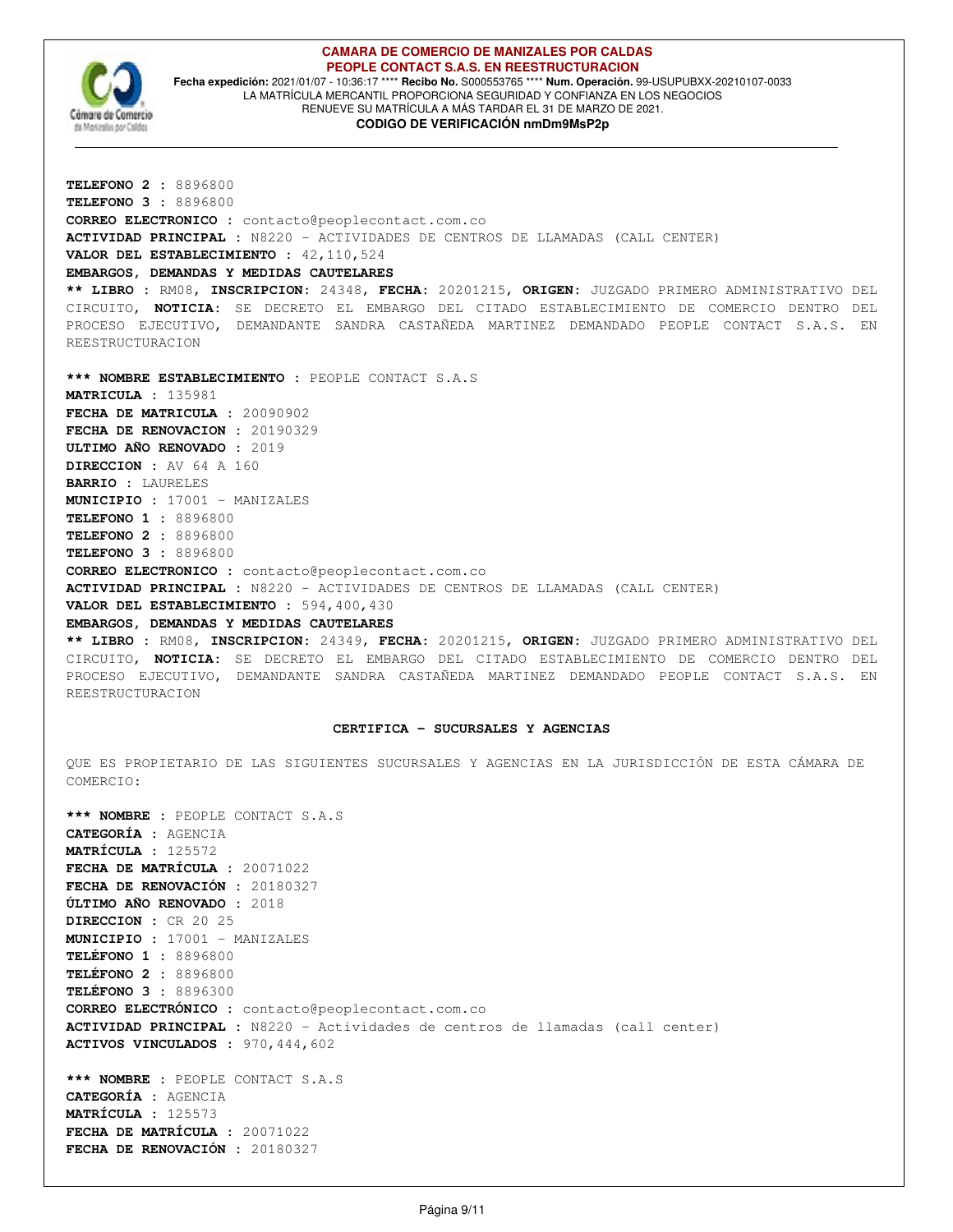

#### **CAMARA DE COMERCIO DE MANIZALES POR CALDAS PEOPLE CONTACT S.A.S. EN REESTRUCTURACION Fecha expedición:** 2021/01/07 - 10:36:17 \*\*\*\* **Recibo No.** S000553765 \*\*\*\* **Num. Operación.** 99-USUPUBXX-20210107-0033 LA MATRÍCULA MERCANTIL PROPORCIONA SEGURIDAD Y CONFIANZA EN LOS NEGOCIOS

RENUEVE SU MATRÍCULA A MÁS TARDAR EL 31 DE MARZO DE 2021.

## **CODIGO DE VERIFICACIÓN nmDm9MsP2p**

**TELEFONO 2 :** 8896800 **TELEFONO 3 :** 8896800 **CORREO ELECTRONICO :** contacto@peoplecontact.com.co **ACTIVIDAD PRINCIPAL :** N8220 - ACTIVIDADES DE CENTROS DE LLAMADAS (CALL CENTER) **VALOR DEL ESTABLECIMIENTO :** 42,110,524 **EMBARGOS, DEMANDAS Y MEDIDAS CAUTELARES \*\* LIBRO :** RM08, **INSCRIPCION:** 24348, **FECHA:** 20201215, **ORIGEN:** JUZGADO PRIMERO ADMINISTRATIVO DEL CIRCUITO, **NOTICIA:** SE DECRETO EL EMBARGO DEL CITADO ESTABLECIMIENTO DE COMERCIO DENTRO DEL PROCESO EJECUTIVO, DEMANDANTE SANDRA CASTAÑEDA MARTINEZ DEMANDADO PEOPLE CONTACT S.A.S. EN REESTRUCTURACION **\*\*\* NOMBRE ESTABLECIMIENTO :** PEOPLE CONTACT S.A.S **MATRICULA :** 135981 **FECHA DE MATRICULA :** 20090902 **FECHA DE RENOVACION :** 20190329 **ULTIMO AÑO RENOVADO :** 2019 **DIRECCION :** AV 64 A 160 **BARRIO :** LAURELES **MUNICIPIO :** 17001 - MANIZALES **TELEFONO 1 :** 8896800 **TELEFONO 2 :** 8896800 **TELEFONO 3 :** 8896800 **CORREO ELECTRONICO :** contacto@peoplecontact.com.co **ACTIVIDAD PRINCIPAL :** N8220 - ACTIVIDADES DE CENTROS DE LLAMADAS (CALL CENTER) **VALOR DEL ESTABLECIMIENTO :** 594,400,430 **EMBARGOS, DEMANDAS Y MEDIDAS CAUTELARES \*\* LIBRO :** RM08, **INSCRIPCION:** 24349, **FECHA:** 20201215, **ORIGEN:** JUZGADO PRIMERO ADMINISTRATIVO DEL

CIRCUITO, **NOTICIA:** SE DECRETO EL EMBARGO DEL CITADO ESTABLECIMIENTO DE COMERCIO DENTRO DEL PROCESO EJECUTIVO, DEMANDANTE SANDRA CASTAÑEDA MARTINEZ DEMANDADO PEOPLE CONTACT S.A.S. EN REESTRUCTURACION

## **CERTIFICA - SUCURSALES Y AGENCIAS**

QUE ES PROPIETARIO DE LAS SIGUIENTES SUCURSALES Y AGENCIAS EN LA JURISDICCIÓN DE ESTA CÁMARA DE COMERCIO:

**\*\*\* NOMBRE :** PEOPLE CONTACT S.A.S **CATEGORÍA :** AGENCIA **MATRÍCULA :** 125572 **FECHA DE MATRÍCULA :** 20071022 **FECHA DE RENOVACIÓN :** 20180327 **ÚLTIMO AÑO RENOVADO :** 2018 **DIRECCION :** CR 20 25 **MUNICIPIO :** 17001 - MANIZALES **TELÉFONO 1 :** 8896800 **TELÉFONO 2 :** 8896800 **TELÉFONO 3 :** 8896300 **CORREO ELECTRÓNICO :** contacto@peoplecontact.com.co **ACTIVIDAD PRINCIPAL :** N8220 - Actividades de centros de llamadas (call center) **ACTIVOS VINCULADOS :** 970,444,602 **\*\*\* NOMBRE :** PEOPLE CONTACT S.A.S **CATEGORÍA :** AGENCIA **MATRÍCULA :** 125573 **FECHA DE MATRÍCULA :** 20071022 **FECHA DE RENOVACIÓN :** 20180327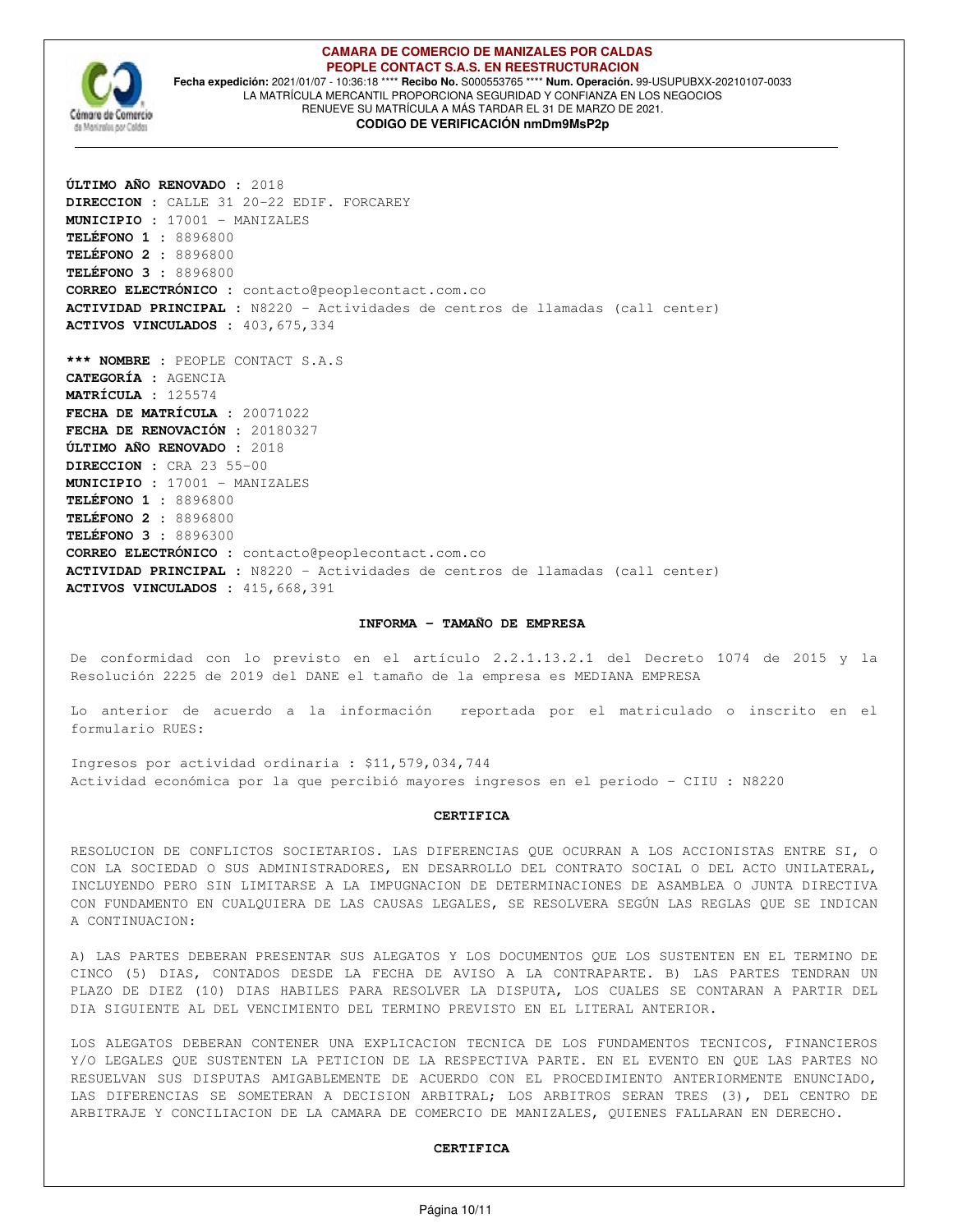

#### **CAMARA DE COMERCIO DE MANIZALES POR CALDAS PEOPLE CONTACT S.A.S. EN REESTRUCTURACION Fecha expedición:** 2021/01/07 - 10:36:18 \*\*\*\* **Recibo No.** S000553765 \*\*\*\* **Num. Operación.** 99-USUPUBXX-20210107-0033 LA MATRÍCULA MERCANTIL PROPORCIONA SEGURIDAD Y CONFIANZA EN LOS NEGOCIOS RENUEVE SU MATRÍCULA A MÁS TARDAR EL 31 DE MARZO DE 2021. **CODIGO DE VERIFICACIÓN nmDm9MsP2p**

**ÚLTIMO AÑO RENOVADO :** 2018 **DIRECCION :** CALLE 31 20-22 EDIF. FORCAREY **MUNICIPIO :** 17001 - MANIZALES **TELÉFONO 1 :** 8896800 **TELÉFONO 2 :** 8896800 **TELÉFONO 3 :** 8896800 **CORREO ELECTRÓNICO :** contacto@peoplecontact.com.co **ACTIVIDAD PRINCIPAL :** N8220 - Actividades de centros de llamadas (call center) **ACTIVOS VINCULADOS :** 403,675,334

**\*\*\* NOMBRE :** PEOPLE CONTACT S.A.S **CATEGORÍA :** AGENCIA **MATRÍCULA :** 125574 **FECHA DE MATRÍCULA :** 20071022 **FECHA DE RENOVACIÓN :** 20180327 **ÚLTIMO AÑO RENOVADO :** 2018 **DIRECCION :** CRA 23 55-00 **MUNICIPIO :** 17001 - MANIZALES **TELÉFONO 1 :** 8896800 **TELÉFONO 2 :** 8896800 **TELÉFONO 3 :** 8896300 **CORREO ELECTRÓNICO :** contacto@peoplecontact.com.co **ACTIVIDAD PRINCIPAL :** N8220 - Actividades de centros de llamadas (call center) **ACTIVOS VINCULADOS :** 415,668,391

#### **INFORMA - TAMAÑO DE EMPRESA**

De conformidad con lo previsto en el artículo 2.2.1.13.2.1 del Decreto 1074 de 2015 y la Resolución 2225 de 2019 del DANE el tamaño de la empresa es MEDIANA EMPRESA

Lo anterior de acuerdo a la información reportada por el matriculado o inscrito en el formulario RUES:

Ingresos por actividad ordinaria : \$11,579,034,744 Actividad económica por la que percibió mayores ingresos en el periodo - CIIU : N8220

#### **CERTIFICA**

RESOLUCION DE CONFLICTOS SOCIETARIOS. LAS DIFERENCIAS QUE OCURRAN A LOS ACCIONISTAS ENTRE SI, O CON LA SOCIEDAD O SUS ADMINISTRADORES, EN DESARROLLO DEL CONTRATO SOCIAL O DEL ACTO UNILATERAL, INCLUYENDO PERO SIN LIMITARSE A LA IMPUGNACION DE DETERMINACIONES DE ASAMBLEA O JUNTA DIRECTIVA CON FUNDAMENTO EN CUALQUIERA DE LAS CAUSAS LEGALES, SE RESOLVERA SEGÚN LAS REGLAS QUE SE INDICAN A CONTINUACION:

A) LAS PARTES DEBERAN PRESENTAR SUS ALEGATOS Y LOS DOCUMENTOS QUE LOS SUSTENTEN EN EL TERMINO DE CINCO (5) DIAS, CONTADOS DESDE LA FECHA DE AVISO A LA CONTRAPARTE. B) LAS PARTES TENDRAN UN PLAZO DE DIEZ (10) DIAS HABILES PARA RESOLVER LA DISPUTA, LOS CUALES SE CONTARAN A PARTIR DEL DIA SIGUIENTE AL DEL VENCIMIENTO DEL TERMINO PREVISTO EN EL LITERAL ANTERIOR.

LOS ALEGATOS DEBERAN CONTENER UNA EXPLICACION TECNICA DE LOS FUNDAMENTOS TECNICOS, FINANCIEROS Y/O LEGALES QUE SUSTENTEN LA PETICION DE LA RESPECTIVA PARTE. EN EL EVENTO EN QUE LAS PARTES NO RESUELVAN SUS DISPUTAS AMIGABLEMENTE DE ACUERDO CON EL PROCEDIMIENTO ANTERIORMENTE ENUNCIADO, LAS DIFERENCIAS SE SOMETERAN A DECISION ARBITRAL; LOS ARBITROS SERAN TRES (3), DEL CENTRO DE ARBITRAJE Y CONCILIACION DE LA CAMARA DE COMERCIO DE MANIZALES, QUIENES FALLARAN EN DERECHO.

#### **CERTIFICA**